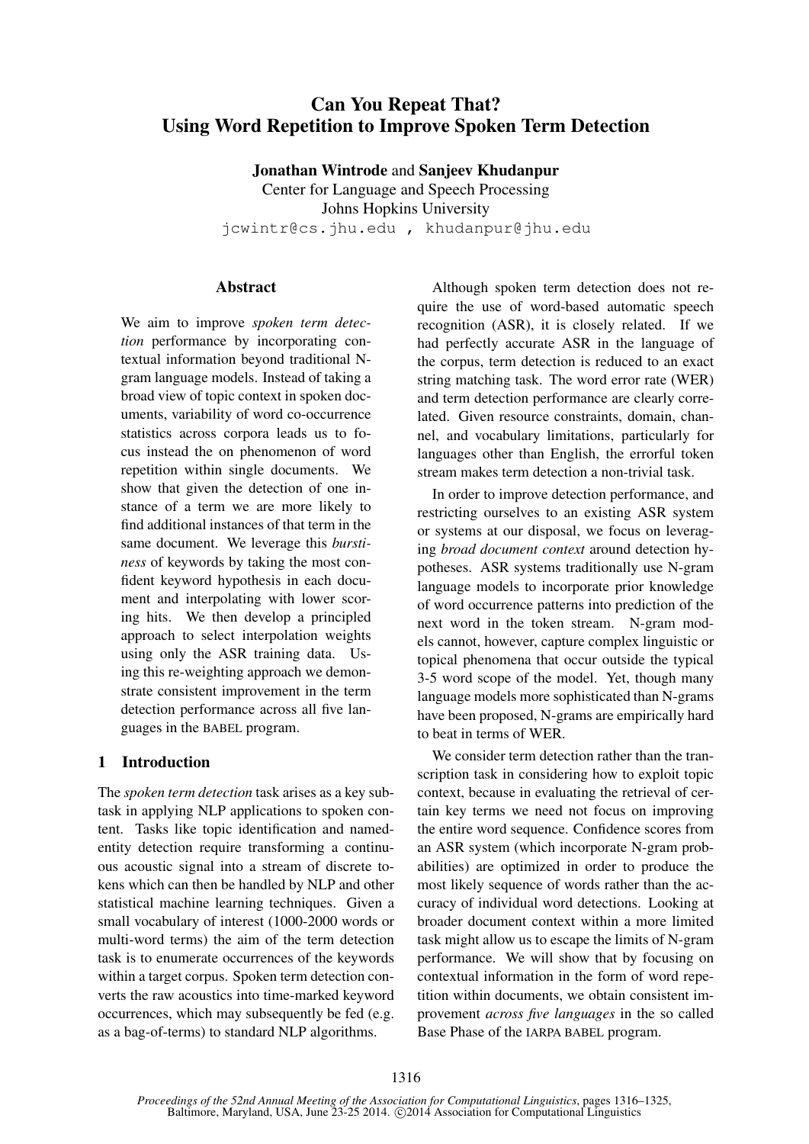# Can You Repeat That? Using Word Repetition to Improve Spoken Term Detection

Jonathan Wintrode and Sanjeev Khudanpur Center for Language and Speech Processing Johns Hopkins University jcwintr@cs.jhu.edu , khudanpur@jhu.edu

# **Abstract**

We aim to improve *spoken term detection* performance by incorporating contextual information beyond traditional Ngram language models. Instead of taking a broad view of topic context in spoken documents, variability of word co-occurrence statistics across corpora leads us to focus instead the on phenomenon of word repetition within single documents. We show that given the detection of one instance of a term we are more likely to find additional instances of that term in the same document. We leverage this *burstiness* of keywords by taking the most confident keyword hypothesis in each document and interpolating with lower scoring hits. We then develop a principled approach to select interpolation weights using only the ASR training data. Using this re-weighting approach we demonstrate consistent improvement in the term detection performance across all five languages in the BABEL program.

# 1 Introduction

The *spoken term detection* task arises as a key subtask in applying NLP applications to spoken content. Tasks like topic identification and namedentity detection require transforming a continuous acoustic signal into a stream of discrete tokens which can then be handled by NLP and other statistical machine learning techniques. Given a small vocabulary of interest (1000-2000 words or multi-word terms) the aim of the term detection task is to enumerate occurrences of the keywords within a target corpus. Spoken term detection converts the raw acoustics into time-marked keyword occurrences, which may subsequently be fed (e.g. as a bag-of-terms) to standard NLP algorithms.

Although spoken term detection does not require the use of word-based automatic speech recognition (ASR), it is closely related. If we had perfectly accurate ASR in the language of the corpus, term detection is reduced to an exact string matching task. The word error rate (WER) and term detection performance are clearly correlated. Given resource constraints, domain, channel, and vocabulary limitations, particularly for languages other than English, the errorful token stream makes term detection a non-trivial task.

In order to improve detection performance, and restricting ourselves to an existing ASR system or systems at our disposal, we focus on leveraging *broad document context* around detection hypotheses. ASR systems traditionally use N-gram language models to incorporate prior knowledge of word occurrence patterns into prediction of the next word in the token stream. N-gram models cannot, however, capture complex linguistic or topical phenomena that occur outside the typical 3-5 word scope of the model. Yet, though many language models more sophisticated than N-grams have been proposed, N-grams are empirically hard to beat in terms of WER.

We consider term detection rather than the transcription task in considering how to exploit topic context, because in evaluating the retrieval of certain key terms we need not focus on improving the entire word sequence. Confidence scores from an ASR system (which incorporate N-gram probabilities) are optimized in order to produce the most likely sequence of words rather than the accuracy of individual word detections. Looking at broader document context within a more limited task might allow us to escape the limits of N-gram performance. We will show that by focusing on contextual information in the form of word repetition within documents, we obtain consistent improvement *across five languages* in the so called Base Phase of the IARPA BABEL program.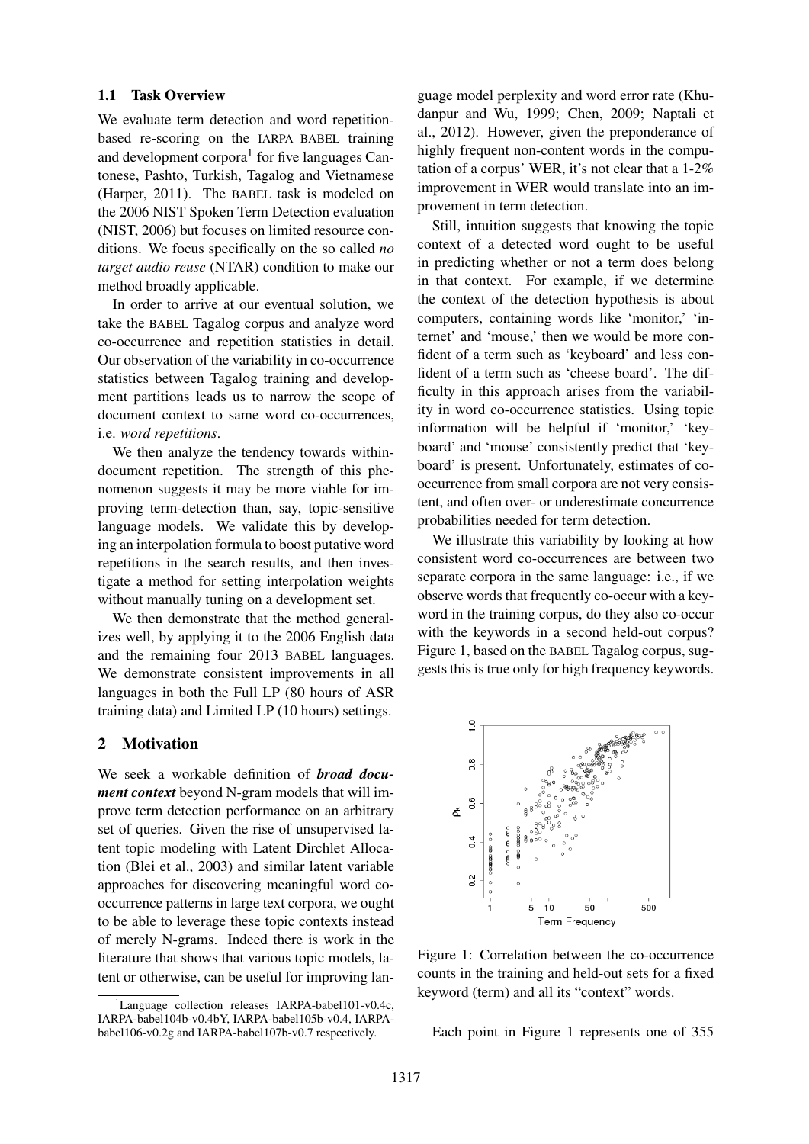#### 1.1 Task Overview

We evaluate term detection and word repetitionbased re-scoring on the IARPA BABEL training and development corpora<sup>1</sup> for five languages Cantonese, Pashto, Turkish, Tagalog and Vietnamese (Harper, 2011). The BABEL task is modeled on the 2006 NIST Spoken Term Detection evaluation (NIST, 2006) but focuses on limited resource conditions. We focus specifically on the so called *no target audio reuse* (NTAR) condition to make our method broadly applicable.

In order to arrive at our eventual solution, we take the BABEL Tagalog corpus and analyze word co-occurrence and repetition statistics in detail. Our observation of the variability in co-occurrence statistics between Tagalog training and development partitions leads us to narrow the scope of document context to same word co-occurrences, i.e. *word repetitions*.

We then analyze the tendency towards withindocument repetition. The strength of this phenomenon suggests it may be more viable for improving term-detection than, say, topic-sensitive language models. We validate this by developing an interpolation formula to boost putative word repetitions in the search results, and then investigate a method for setting interpolation weights without manually tuning on a development set.

We then demonstrate that the method generalizes well, by applying it to the 2006 English data and the remaining four 2013 BABEL languages. We demonstrate consistent improvements in all languages in both the Full LP (80 hours of ASR training data) and Limited LP (10 hours) settings.

### 2 Motivation

We seek a workable definition of *broad document context* beyond N-gram models that will improve term detection performance on an arbitrary set of queries. Given the rise of unsupervised latent topic modeling with Latent Dirchlet Allocation (Blei et al., 2003) and similar latent variable approaches for discovering meaningful word cooccurrence patterns in large text corpora, we ought to be able to leverage these topic contexts instead of merely N-grams. Indeed there is work in the literature that shows that various topic models, latent or otherwise, can be useful for improving lan-

 ${}^{1}$ Language collection releases IARPA-babel101-v0.4c, IARPA-babel104b-v0.4bY, IARPA-babel105b-v0.4, IARPAbabel106-v0.2g and IARPA-babel107b-v0.7 respectively.

guage model perplexity and word error rate (Khudanpur and Wu, 1999; Chen, 2009; Naptali et al., 2012). However, given the preponderance of highly frequent non-content words in the computation of a corpus' WER, it's not clear that a 1-2% improvement in WER would translate into an improvement in term detection.

Still, intuition suggests that knowing the topic context of a detected word ought to be useful in predicting whether or not a term does belong in that context. For example, if we determine the context of the detection hypothesis is about computers, containing words like 'monitor,' 'internet' and 'mouse,' then we would be more confident of a term such as 'keyboard' and less confident of a term such as 'cheese board'. The difficulty in this approach arises from the variability in word co-occurrence statistics. Using topic information will be helpful if 'monitor,' 'keyboard' and 'mouse' consistently predict that 'keyboard' is present. Unfortunately, estimates of cooccurrence from small corpora are not very consistent, and often over- or underestimate concurrence probabilities needed for term detection.

We illustrate this variability by looking at how consistent word co-occurrences are between two separate corpora in the same language: i.e., if we observe words that frequently co-occur with a keyword in the training corpus, do they also co-occur with the keywords in a second held-out corpus? Figure 1, based on the BABEL Tagalog corpus, suggests this is true only for high frequency keywords.



Figure 1: Correlation between the co-occurrence counts in the training and held-out sets for a fixed keyword (term) and all its "context" words.

Each point in Figure 1 represents one of 355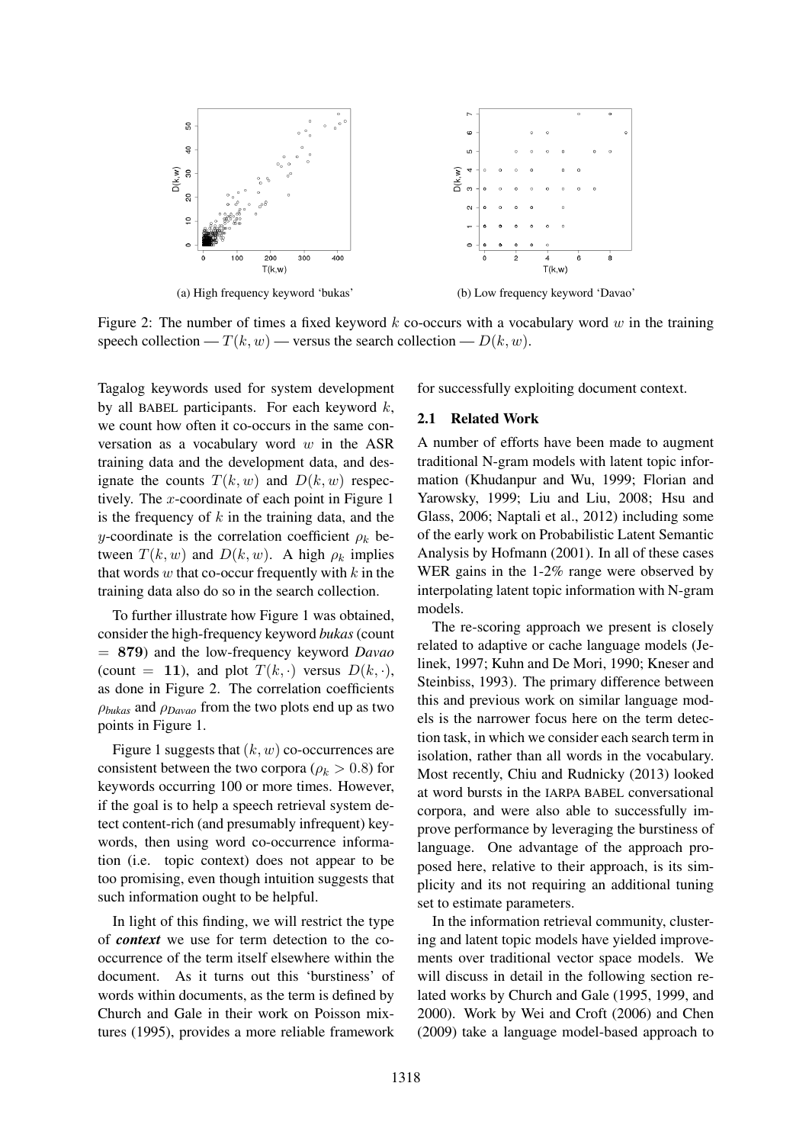

Figure 2: The number of times a fixed keyword k co-occurs with a vocabulary word w in the training speech collection —  $T(k, w)$  — versus the search collection —  $D(k, w)$ .

Tagalog keywords used for system development by all BABEL participants. For each keyword  $k$ , we count how often it co-occurs in the same conversation as a vocabulary word  $w$  in the ASR training data and the development data, and designate the counts  $T(k, w)$  and  $D(k, w)$  respectively. The x-coordinate of each point in Figure 1 is the frequency of  $k$  in the training data, and the y-coordinate is the correlation coefficient  $\rho_k$  between  $T(k, w)$  and  $D(k, w)$ . A high  $\rho_k$  implies that words  $w$  that co-occur frequently with  $k$  in the training data also do so in the search collection.

To further illustrate how Figure 1 was obtained, consider the high-frequency keyword *bukas*(count = 879) and the low-frequency keyword *Davao* (count = 11), and plot  $T(k, \cdot)$  versus  $D(k, \cdot)$ , as done in Figure 2. The correlation coefficients ρ*bukas* and ρ*Davao* from the two plots end up as two points in Figure 1.

Figure 1 suggests that  $(k, w)$  co-occurrences are consistent between the two corpora ( $\rho_k > 0.8$ ) for keywords occurring 100 or more times. However, if the goal is to help a speech retrieval system detect content-rich (and presumably infrequent) keywords, then using word co-occurrence information (i.e. topic context) does not appear to be too promising, even though intuition suggests that such information ought to be helpful.

In light of this finding, we will restrict the type of *context* we use for term detection to the cooccurrence of the term itself elsewhere within the document. As it turns out this 'burstiness' of words within documents, as the term is defined by Church and Gale in their work on Poisson mixtures (1995), provides a more reliable framework

for successfully exploiting document context.

#### 2.1 Related Work

A number of efforts have been made to augment traditional N-gram models with latent topic information (Khudanpur and Wu, 1999; Florian and Yarowsky, 1999; Liu and Liu, 2008; Hsu and Glass, 2006; Naptali et al., 2012) including some of the early work on Probabilistic Latent Semantic Analysis by Hofmann (2001). In all of these cases WER gains in the 1-2% range were observed by interpolating latent topic information with N-gram models.

The re-scoring approach we present is closely related to adaptive or cache language models (Jelinek, 1997; Kuhn and De Mori, 1990; Kneser and Steinbiss, 1993). The primary difference between this and previous work on similar language models is the narrower focus here on the term detection task, in which we consider each search term in isolation, rather than all words in the vocabulary. Most recently, Chiu and Rudnicky (2013) looked at word bursts in the IARPA BABEL conversational corpora, and were also able to successfully improve performance by leveraging the burstiness of language. One advantage of the approach proposed here, relative to their approach, is its simplicity and its not requiring an additional tuning set to estimate parameters.

In the information retrieval community, clustering and latent topic models have yielded improvements over traditional vector space models. We will discuss in detail in the following section related works by Church and Gale (1995, 1999, and 2000). Work by Wei and Croft (2006) and Chen (2009) take a language model-based approach to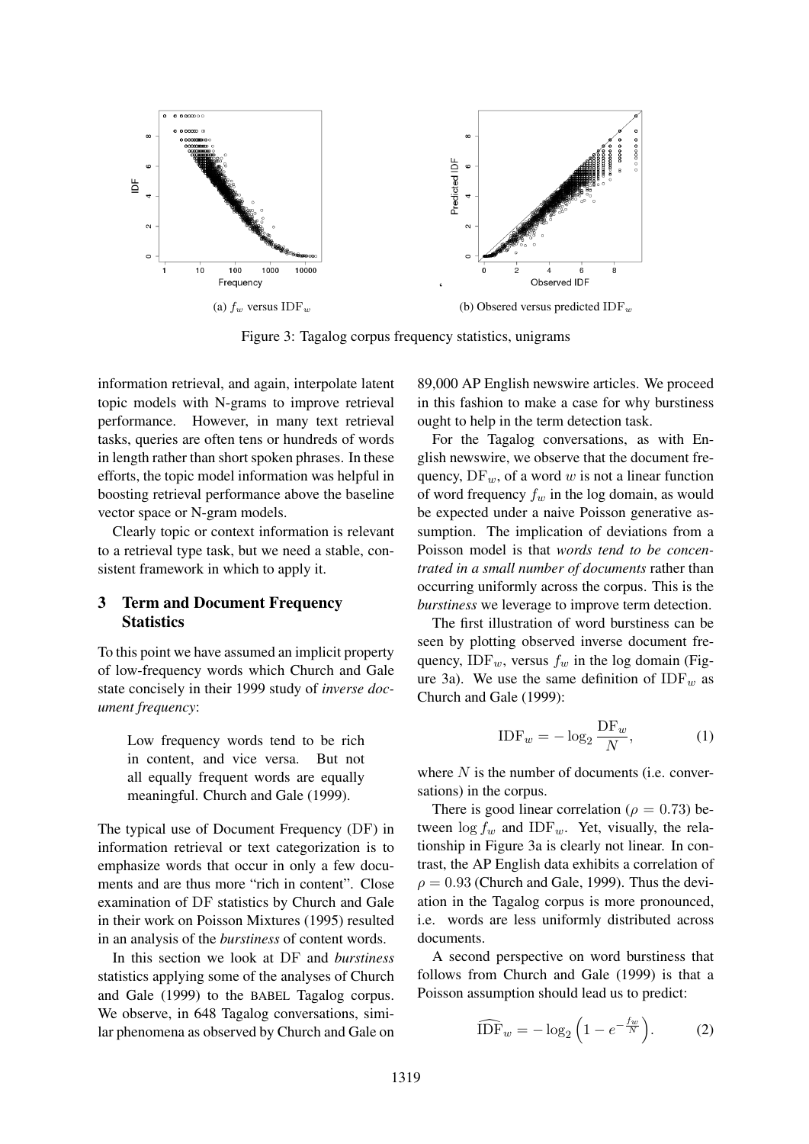

Figure 3: Tagalog corpus frequency statistics, unigrams

information retrieval, and again, interpolate latent topic models with N-grams to improve retrieval performance. However, in many text retrieval tasks, queries are often tens or hundreds of words in length rather than short spoken phrases. In these efforts, the topic model information was helpful in boosting retrieval performance above the baseline vector space or N-gram models.

Clearly topic or context information is relevant to a retrieval type task, but we need a stable, consistent framework in which to apply it.

# 3 Term and Document Frequency **Statistics**

To this point we have assumed an implicit property of low-frequency words which Church and Gale state concisely in their 1999 study of *inverse document frequency*:

Low frequency words tend to be rich in content, and vice versa. But not all equally frequent words are equally meaningful. Church and Gale (1999).

The typical use of Document Frequency (DF) in information retrieval or text categorization is to emphasize words that occur in only a few documents and are thus more "rich in content". Close examination of DF statistics by Church and Gale in their work on Poisson Mixtures (1995) resulted in an analysis of the *burstiness* of content words.

In this section we look at DF and *burstiness* statistics applying some of the analyses of Church and Gale (1999) to the BABEL Tagalog corpus. We observe, in 648 Tagalog conversations, similar phenomena as observed by Church and Gale on

89,000 AP English newswire articles. We proceed in this fashion to make a case for why burstiness ought to help in the term detection task.

For the Tagalog conversations, as with English newswire, we observe that the document frequency,  $DF_w$ , of a word w is not a linear function of word frequency  $f_w$  in the log domain, as would be expected under a naive Poisson generative assumption. The implication of deviations from a Poisson model is that *words tend to be concentrated in a small number of documents* rather than occurring uniformly across the corpus. This is the *burstiness* we leverage to improve term detection.

The first illustration of word burstiness can be seen by plotting observed inverse document frequency, IDF<sub>w</sub>, versus  $f_w$  in the log domain (Figure 3a). We use the same definition of IDF<sub>w</sub> as Church and Gale (1999):

$$
\text{IDF}_w = -\log_2 \frac{\text{DF}_w}{N},\tag{1}
$$

where  $N$  is the number of documents (i.e. conversations) in the corpus.

There is good linear correlation ( $\rho = 0.73$ ) between  $\log f_w$  and IDF<sub>w</sub>. Yet, visually, the relationship in Figure 3a is clearly not linear. In contrast, the AP English data exhibits a correlation of  $\rho = 0.93$  (Church and Gale, 1999). Thus the deviation in the Tagalog corpus is more pronounced, i.e. words are less uniformly distributed across documents.

A second perspective on word burstiness that follows from Church and Gale (1999) is that a Poisson assumption should lead us to predict:

$$
\widehat{\text{IDF}}_w = -\log_2\left(1 - e^{-\frac{f_w}{N}}\right). \tag{2}
$$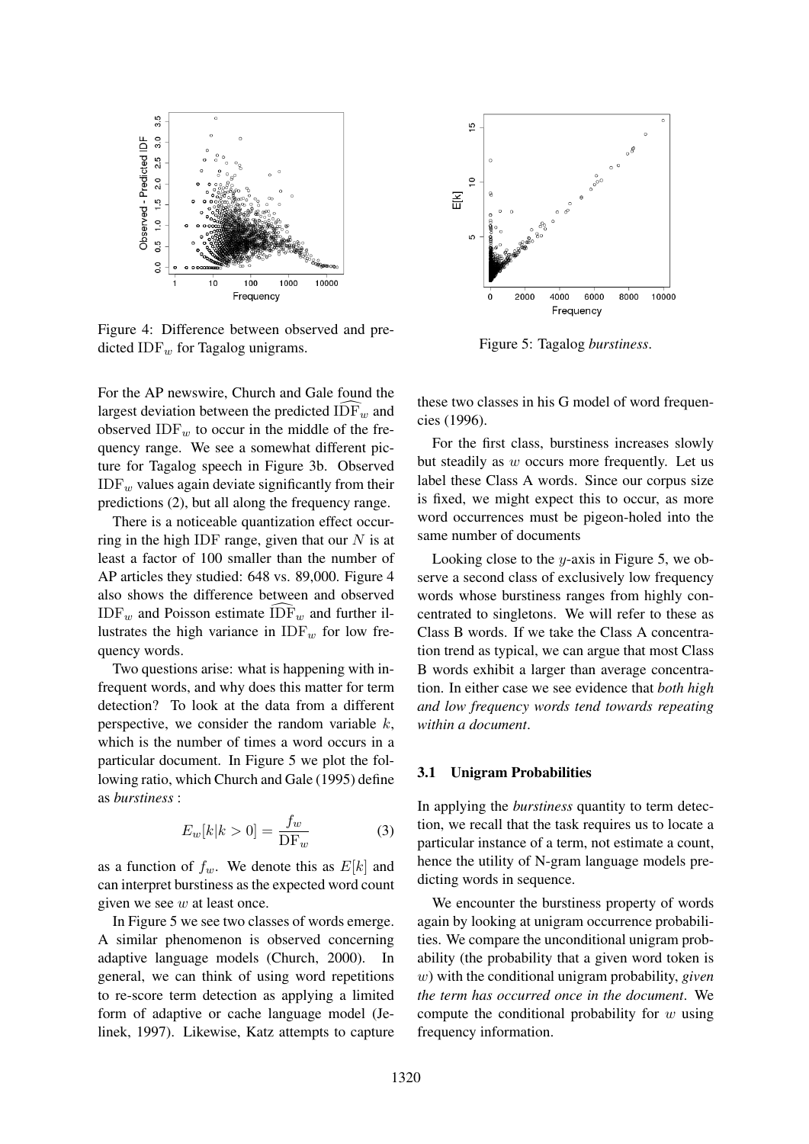

Figure 4: Difference between observed and predicted IDF $_w$  for Tagalog unigrams.

For the AP newswire, Church and Gale found the largest deviation between the predicted  $\widehat{\text{IDF}}_w$  and observed  $IDF_w$  to occur in the middle of the frequency range. We see a somewhat different picture for Tagalog speech in Figure 3b. Observed  $IDF_w$  values again deviate significantly from their predictions (2), but all along the frequency range.

There is a noticeable quantization effect occurring in the high IDF range, given that our  $N$  is at least a factor of 100 smaller than the number of AP articles they studied: 648 vs. 89,000. Figure 4 also shows the difference between and observed  $\text{IDF}_w$  and Poisson estimate  $\text{IDF}_w$  and further illustrates the high variance in  $IDF_w$  for low frequency words.

Two questions arise: what is happening with infrequent words, and why does this matter for term detection? To look at the data from a different perspective, we consider the random variable  $k$ . which is the number of times a word occurs in a particular document. In Figure 5 we plot the following ratio, which Church and Gale (1995) define as *burstiness* :

$$
E_w[k|k>0] = \frac{f_w}{\text{DF}_w} \tag{3}
$$

as a function of  $f_w$ . We denote this as  $E[k]$  and can interpret burstiness as the expected word count given we see  $w$  at least once.

In Figure 5 we see two classes of words emerge. A similar phenomenon is observed concerning adaptive language models (Church, 2000). In general, we can think of using word repetitions to re-score term detection as applying a limited form of adaptive or cache language model (Jelinek, 1997). Likewise, Katz attempts to capture



Figure 5: Tagalog *burstiness*.

these two classes in his G model of word frequencies (1996).

For the first class, burstiness increases slowly but steadily as w occurs more frequently. Let us label these Class A words. Since our corpus size is fixed, we might expect this to occur, as more word occurrences must be pigeon-holed into the same number of documents

Looking close to the  $y$ -axis in Figure 5, we observe a second class of exclusively low frequency words whose burstiness ranges from highly concentrated to singletons. We will refer to these as Class B words. If we take the Class A concentration trend as typical, we can argue that most Class B words exhibit a larger than average concentration. In either case we see evidence that *both high and low frequency words tend towards repeating within a document*.

#### 3.1 Unigram Probabilities

In applying the *burstiness* quantity to term detection, we recall that the task requires us to locate a particular instance of a term, not estimate a count, hence the utility of N-gram language models predicting words in sequence.

We encounter the burstiness property of words again by looking at unigram occurrence probabilities. We compare the unconditional unigram probability (the probability that a given word token is w) with the conditional unigram probability, *given the term has occurred once in the document*. We compute the conditional probability for  $w$  using frequency information.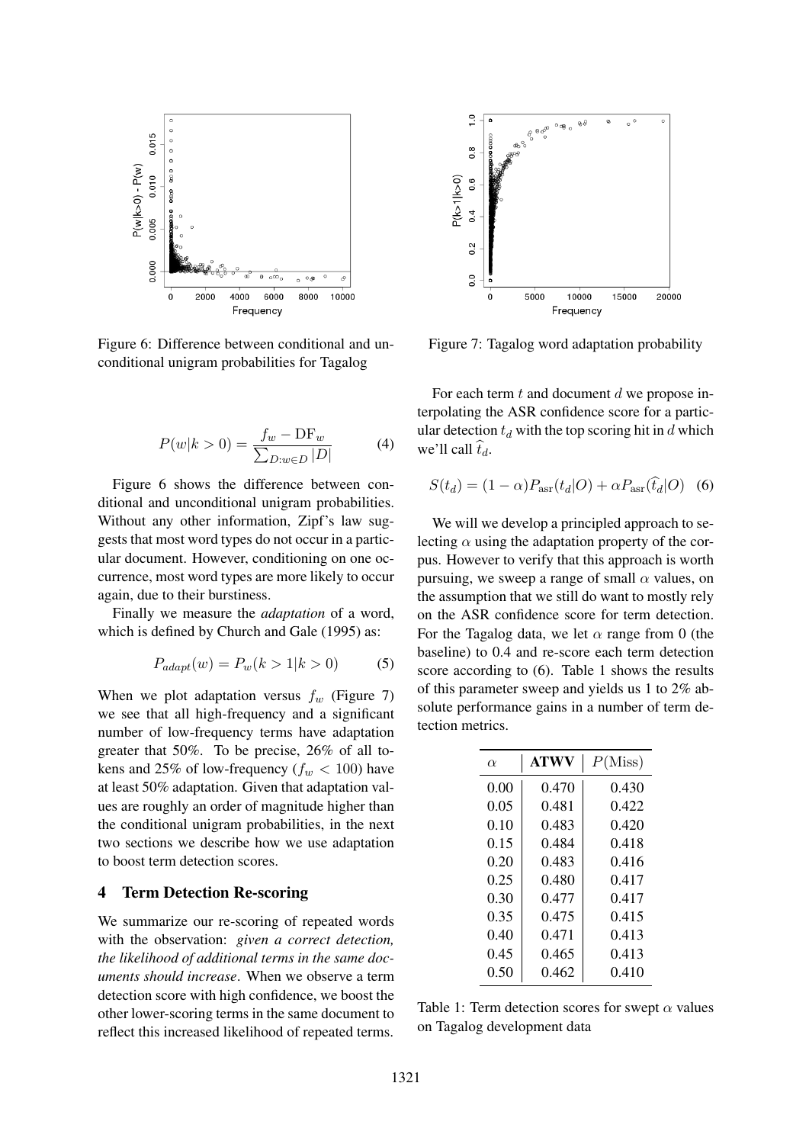

Figure 6: Difference between conditional and unconditional unigram probabilities for Tagalog

$$
P(w|k > 0) = \frac{f_w - DF_w}{\sum_{D:w \in D} |D|}
$$
 (4)

Figure 6 shows the difference between conditional and unconditional unigram probabilities. Without any other information, Zipf's law suggests that most word types do not occur in a particular document. However, conditioning on one occurrence, most word types are more likely to occur again, due to their burstiness.

Finally we measure the *adaptation* of a word, which is defined by Church and Gale (1995) as:

$$
P_{adapt}(w) = P_w(k > 1 | k > 0) \tag{5}
$$

When we plot adaptation versus  $f_w$  (Figure 7) we see that all high-frequency and a significant number of low-frequency terms have adaptation greater that 50%. To be precise, 26% of all tokens and 25% of low-frequency ( $f_w < 100$ ) have at least 50% adaptation. Given that adaptation values are roughly an order of magnitude higher than the conditional unigram probabilities, in the next two sections we describe how we use adaptation to boost term detection scores.

#### 4 Term Detection Re-scoring

We summarize our re-scoring of repeated words with the observation: *given a correct detection, the likelihood of additional terms in the same documents should increase*. When we observe a term detection score with high confidence, we boost the other lower-scoring terms in the same document to reflect this increased likelihood of repeated terms.



Figure 7: Tagalog word adaptation probability

For each term  $t$  and document  $d$  we propose interpolating the ASR confidence score for a particular detection  $t_d$  with the top scoring hit in d which we'll call  $\hat{t}_d$ .

$$
S(t_d) = (1 - \alpha) P_{\text{asr}}(t_d | O) + \alpha P_{\text{asr}}(\hat{t}_d | O) \quad (6)
$$

We will we develop a principled approach to selecting  $\alpha$  using the adaptation property of the corpus. However to verify that this approach is worth pursuing, we sweep a range of small  $\alpha$  values, on the assumption that we still do want to mostly rely on the ASR confidence score for term detection. For the Tagalog data, we let  $\alpha$  range from 0 (the baseline) to 0.4 and re-score each term detection score according to (6). Table 1 shows the results of this parameter sweep and yields us 1 to 2% absolute performance gains in a number of term detection metrics.

| $\alpha$ | <b>ATWV</b> | P(Miss) |  |
|----------|-------------|---------|--|
| 0.00     | 0.470       | 0.430   |  |
| 0.05     | 0.481       | 0.422   |  |
| 0.10     | 0.483       | 0.420   |  |
| 0.15     | 0.484       | 0.418   |  |
| 0.20     | 0.483       | 0.416   |  |
| 0.25     | 0.480       | 0.417   |  |
| 0.30     | 0.477       | 0.417   |  |
| 0.35     | 0.475       | 0.415   |  |
| 0.40     | 0.471       | 0.413   |  |
| 0.45     | 0.465       | 0.413   |  |
| 0.50     | 0.462       | 0.410   |  |

Table 1: Term detection scores for swept  $\alpha$  values on Tagalog development data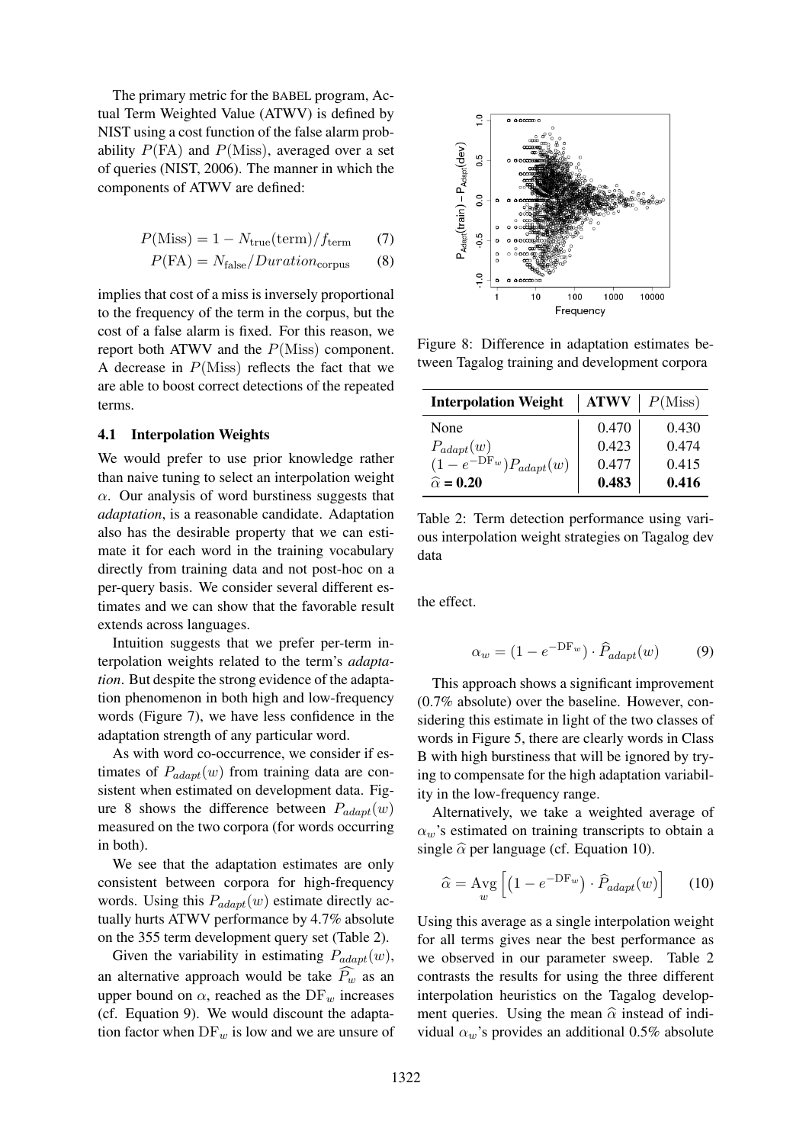The primary metric for the BABEL program, Actual Term Weighted Value (ATWV) is defined by NIST using a cost function of the false alarm probability  $P(\text{FA})$  and  $P(\text{Miss})$ , averaged over a set of queries (NIST, 2006). The manner in which the components of ATWV are defined:

$$
P(Miss) = 1 - N_{true}(\text{term})/f_{term} \tag{7}
$$

$$
P(\text{FA}) = N_{\text{false}} / \text{Duration}_{\text{corpus}} \tag{8}
$$

implies that cost of a miss is inversely proportional to the frequency of the term in the corpus, but the cost of a false alarm is fixed. For this reason, we report both ATWV and the  $P(Miss)$  component. A decrease in  $P(Miss)$  reflects the fact that we are able to boost correct detections of the repeated terms.

#### 4.1 Interpolation Weights

We would prefer to use prior knowledge rather than naive tuning to select an interpolation weight  $\alpha$ . Our analysis of word burstiness suggests that *adaptation*, is a reasonable candidate. Adaptation also has the desirable property that we can estimate it for each word in the training vocabulary directly from training data and not post-hoc on a per-query basis. We consider several different estimates and we can show that the favorable result extends across languages.

Intuition suggests that we prefer per-term interpolation weights related to the term's *adaptation*. But despite the strong evidence of the adaptation phenomenon in both high and low-frequency words (Figure 7), we have less confidence in the adaptation strength of any particular word.

As with word co-occurrence, we consider if estimates of  $P_{adapt}(w)$  from training data are consistent when estimated on development data. Figure 8 shows the difference between  $P_{adapt}(w)$ measured on the two corpora (for words occurring in both).

We see that the adaptation estimates are only consistent between corpora for high-frequency words. Using this  $P_{adapt}(w)$  estimate directly actually hurts ATWV performance by 4.7% absolute on the 355 term development query set (Table 2).

Given the variability in estimating  $P_{adapt}(w)$ , an alternative approach would be take  $P_w$  as an upper bound on  $\alpha$ , reached as the DF<sub>w</sub> increases (cf. Equation 9). We would discount the adaptation factor when  $DF_w$  is low and we are unsure of



Figure 8: Difference in adaptation estimates between Tagalog training and development corpora

| <b>Interpolation Weight</b> | <b>ATWV</b> | P(Miss) |
|-----------------------------|-------------|---------|
| None                        | 0.470       | 0.430   |
| $P_{adapt}(w)$              | 0.423       | 0.474   |
| $(1-e^{-DF_w})P_{adapt}(w)$ | 0.477       | 0.415   |
| $\hat{\alpha} = 0.20$       | 0.483       | 0.416   |

Table 2: Term detection performance using various interpolation weight strategies on Tagalog dev data

the effect.

$$
\alpha_w = (1 - e^{-\text{DF}_w}) \cdot \hat{P}_{adapt}(w) \tag{9}
$$

This approach shows a significant improvement (0.7% absolute) over the baseline. However, considering this estimate in light of the two classes of words in Figure 5, there are clearly words in Class B with high burstiness that will be ignored by trying to compensate for the high adaptation variability in the low-frequency range.

Alternatively, we take a weighted average of  $\alpha_w$ 's estimated on training transcripts to obtain a single  $\hat{\alpha}$  per language (cf. Equation 10).

$$
\widehat{\alpha} = \operatorname{Avg}_{w} \left[ \left( 1 - e^{-\mathcal{D}F_{w}} \right) \cdot \widehat{P}_{adapt}(w) \right] \tag{10}
$$

Using this average as a single interpolation weight for all terms gives near the best performance as we observed in our parameter sweep. Table 2 contrasts the results for using the three different interpolation heuristics on the Tagalog development queries. Using the mean  $\hat{\alpha}$  instead of individual  $\alpha_w$ 's provides an additional 0.5% absolute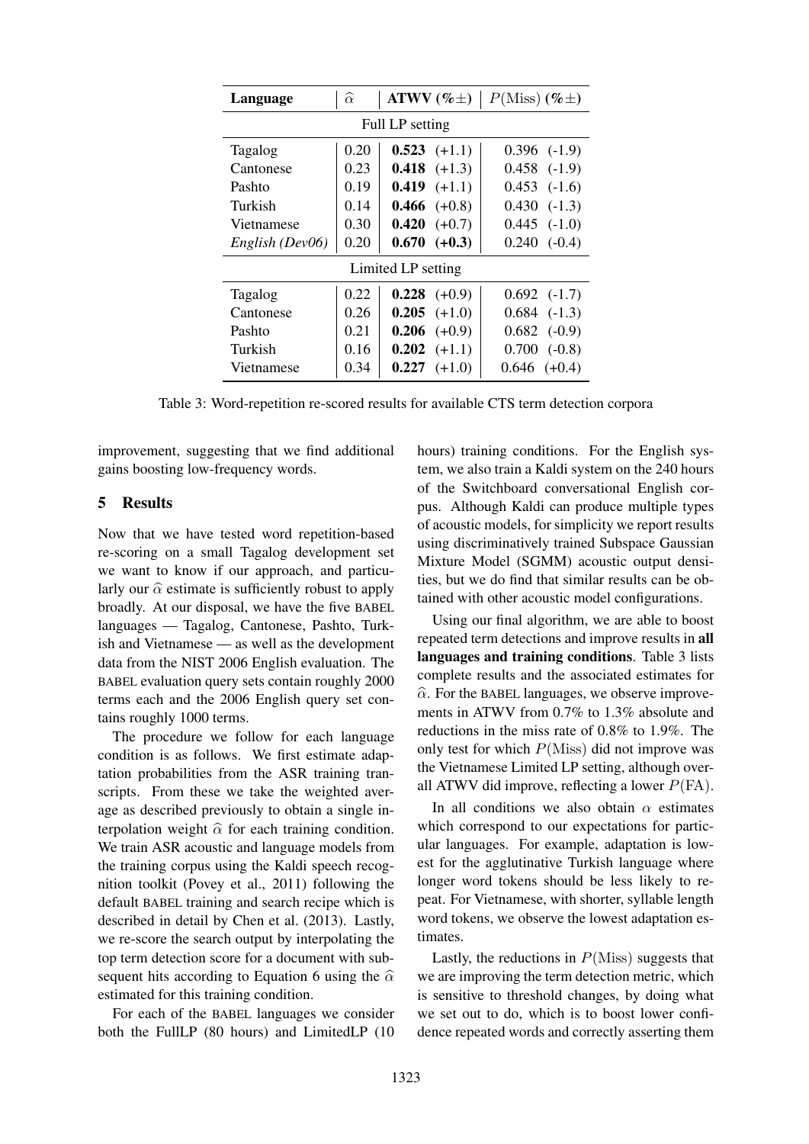| Language           | $\alpha$ | ATWV $(\% \pm)$       | $P(Miss)$ (% $\pm$ ) |  |  |
|--------------------|----------|-----------------------|----------------------|--|--|
| Full LP setting    |          |                       |                      |  |  |
| Tagalog            | 0.20     | $0.523 (+1.1)$        | $0.396$ $(-1.9)$     |  |  |
| Cantonese          | 0.23     | <b>0.418</b> $(+1.3)$ | $0.458$ $(-1.9)$     |  |  |
| Pashto             | 0.19     | $0.419 (+1.1)$        | $0.453$ $(-1.6)$     |  |  |
| Turkish            | 0.14     | $0.466$ $(+0.8)$      | $0.430(-1.3)$        |  |  |
| Vietnamese         | 0.30     | $0.420 (+0.7)$        | $0.445$ $(-1.0)$     |  |  |
| English (Dev06)    | 0.20     | $0.670 (+0.3)$        | $0.240(-0.4)$        |  |  |
| Limited LP setting |          |                       |                      |  |  |
| Tagalog            | 0.22     | $0.228$ (+0.9)        | $0.692$ $(-1.7)$     |  |  |
| Cantonese          | 0.26     | $0.205$ $(+1.0)$      | $0.684$ $(-1.3)$     |  |  |
| Pashto             | 0.21     | $0.206$ $(+0.9)$      | $0.682$ (-0.9)       |  |  |
| Turkish            | 0.16     | $0.202$ $(+1.1)$      | $0.700$ $(-0.8)$     |  |  |
| Vietnamese         | 0.34     | $0.227 (+1.0)$        | $0.646 (+0.4)$       |  |  |

Table 3: Word-repetition re-scored results for available CTS term detection corpora

improvement, suggesting that we find additional gains boosting low-frequency words.

#### 5 Results

Now that we have tested word repetition-based re-scoring on a small Tagalog development set we want to know if our approach, and particularly our  $\hat{\alpha}$  estimate is sufficiently robust to apply broadly. At our disposal, we have the five BABEL languages — Tagalog, Cantonese, Pashto, Turkish and Vietnamese — as well as the development data from the NIST 2006 English evaluation. The BABEL evaluation query sets contain roughly 2000 terms each and the 2006 English query set contains roughly 1000 terms.

The procedure we follow for each language condition is as follows. We first estimate adaptation probabilities from the ASR training transcripts. From these we take the weighted average as described previously to obtain a single interpolation weight  $\hat{\alpha}$  for each training condition. We train ASR acoustic and language models from the training corpus using the Kaldi speech recognition toolkit (Povey et al., 2011) following the default BABEL training and search recipe which is described in detail by Chen et al. (2013). Lastly, we re-score the search output by interpolating the top term detection score for a document with subsequent hits according to Equation 6 using the  $\hat{\alpha}$ estimated for this training condition.

For each of the BABEL languages we consider both the FullLP (80 hours) and LimitedLP (10 hours) training conditions. For the English system, we also train a Kaldi system on the 240 hours of the Switchboard conversational English corpus. Although Kaldi can produce multiple types of acoustic models, for simplicity we report results using discriminatively trained Subspace Gaussian Mixture Model (SGMM) acoustic output densities, but we do find that similar results can be obtained with other acoustic model configurations.

Using our final algorithm, we are able to boost repeated term detections and improve results in all languages and training conditions. Table 3 lists complete results and the associated estimates for  $\hat{\alpha}$ . For the BABEL languages, we observe improvements in ATWV from 0.7% to 1.3% absolute and reductions in the miss rate of 0.8% to 1.9%. The only test for which  $P(Miss)$  did not improve was the Vietnamese Limited LP setting, although overall ATWV did improve, reflecting a lower  $P(\text{FA})$ .

In all conditions we also obtain  $\alpha$  estimates which correspond to our expectations for particular languages. For example, adaptation is lowest for the agglutinative Turkish language where longer word tokens should be less likely to repeat. For Vietnamese, with shorter, syllable length word tokens, we observe the lowest adaptation estimates.

Lastly, the reductions in  $P(Miss)$  suggests that we are improving the term detection metric, which is sensitive to threshold changes, by doing what we set out to do, which is to boost lower confidence repeated words and correctly asserting them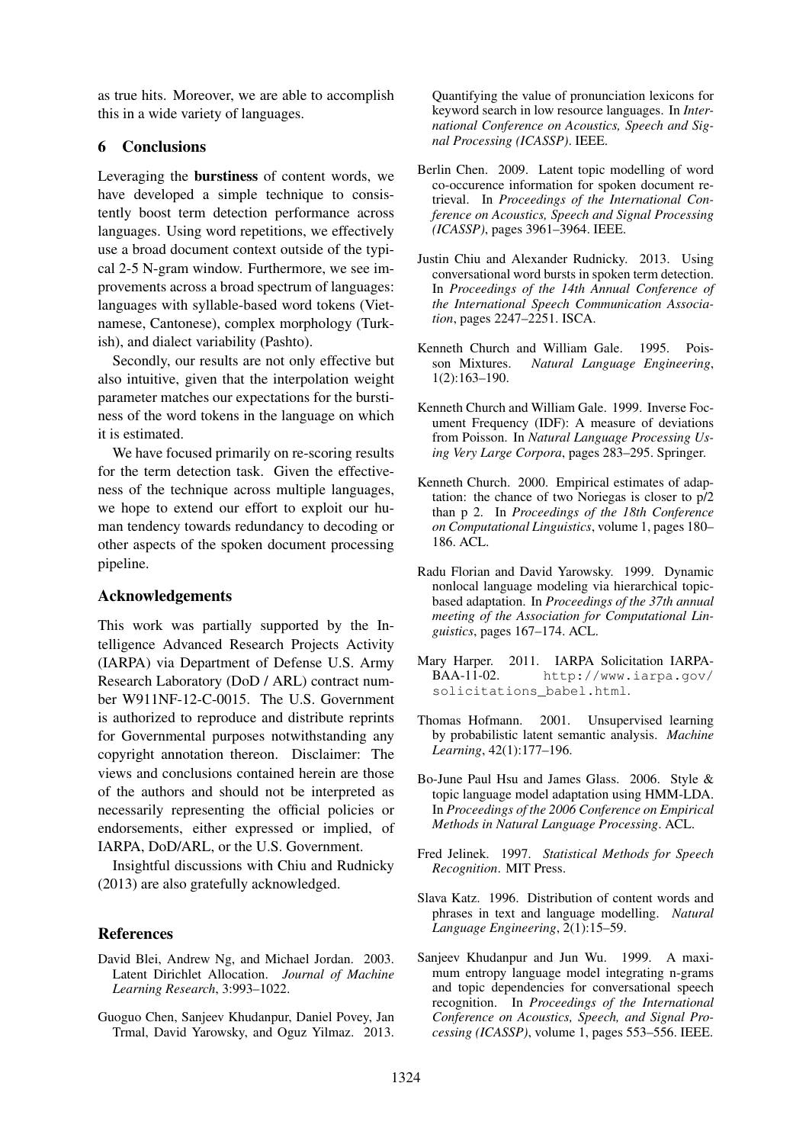as true hits. Moreover, we are able to accomplish this in a wide variety of languages.

# 6 Conclusions

Leveraging the burstiness of content words, we have developed a simple technique to consistently boost term detection performance across languages. Using word repetitions, we effectively use a broad document context outside of the typical 2-5 N-gram window. Furthermore, we see improvements across a broad spectrum of languages: languages with syllable-based word tokens (Vietnamese, Cantonese), complex morphology (Turkish), and dialect variability (Pashto).

Secondly, our results are not only effective but also intuitive, given that the interpolation weight parameter matches our expectations for the burstiness of the word tokens in the language on which it is estimated.

We have focused primarily on re-scoring results for the term detection task. Given the effectiveness of the technique across multiple languages, we hope to extend our effort to exploit our human tendency towards redundancy to decoding or other aspects of the spoken document processing pipeline.

#### Acknowledgements

This work was partially supported by the Intelligence Advanced Research Projects Activity (IARPA) via Department of Defense U.S. Army Research Laboratory (DoD / ARL) contract number W911NF-12-C-0015. The U.S. Government is authorized to reproduce and distribute reprints for Governmental purposes notwithstanding any copyright annotation thereon. Disclaimer: The views and conclusions contained herein are those of the authors and should not be interpreted as necessarily representing the official policies or endorsements, either expressed or implied, of IARPA, DoD/ARL, or the U.S. Government.

Insightful discussions with Chiu and Rudnicky (2013) are also gratefully acknowledged.

#### References

- David Blei, Andrew Ng, and Michael Jordan. 2003. Latent Dirichlet Allocation. *Journal of Machine Learning Research*, 3:993–1022.
- Guoguo Chen, Sanjeev Khudanpur, Daniel Povey, Jan Trmal, David Yarowsky, and Oguz Yilmaz. 2013.

Quantifying the value of pronunciation lexicons for keyword search in low resource languages. In *International Conference on Acoustics, Speech and Signal Processing (ICASSP)*. IEEE.

- Berlin Chen. 2009. Latent topic modelling of word co-occurence information for spoken document retrieval. In *Proceedings of the International Conference on Acoustics, Speech and Signal Processing (ICASSP)*, pages 3961–3964. IEEE.
- Justin Chiu and Alexander Rudnicky. 2013. Using conversational word bursts in spoken term detection. In *Proceedings of the 14th Annual Conference of the International Speech Communication Association*, pages 2247–2251. ISCA.
- Kenneth Church and William Gale. 1995. Poisson Mixtures. *Natural Language Engineering*, 1(2):163–190.
- Kenneth Church and William Gale. 1999. Inverse Focument Frequency (IDF): A measure of deviations from Poisson. In *Natural Language Processing Using Very Large Corpora*, pages 283–295. Springer.
- Kenneth Church. 2000. Empirical estimates of adaptation: the chance of two Noriegas is closer to p/2 than p 2. In *Proceedings of the 18th Conference on Computational Linguistics*, volume 1, pages 180– 186. ACL.
- Radu Florian and David Yarowsky. 1999. Dynamic nonlocal language modeling via hierarchical topicbased adaptation. In *Proceedings of the 37th annual meeting of the Association for Computational Linguistics*, pages 167–174. ACL.
- Mary Harper. 2011. IARPA Solicitation IARPA-BAA-11-02. http://www.iarpa.gov/ solicitations\_babel.html.
- Thomas Hofmann. 2001. Unsupervised learning by probabilistic latent semantic analysis. *Machine Learning*, 42(1):177–196.
- Bo-June Paul Hsu and James Glass. 2006. Style & topic language model adaptation using HMM-LDA. In *Proceedings of the 2006 Conference on Empirical Methods in Natural Language Processing*. ACL.
- Fred Jelinek. 1997. *Statistical Methods for Speech Recognition*. MIT Press.
- Slava Katz. 1996. Distribution of content words and phrases in text and language modelling. *Natural Language Engineering*, 2(1):15–59.
- Sanjeev Khudanpur and Jun Wu. 1999. A maximum entropy language model integrating n-grams and topic dependencies for conversational speech recognition. In *Proceedings of the International Conference on Acoustics, Speech, and Signal Processing (ICASSP)*, volume 1, pages 553–556. IEEE.